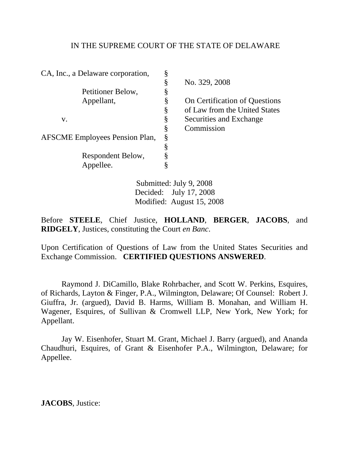# IN THE SUPREME COURT OF THE STATE OF DELAWARE

| CA, Inc., a Delaware corporation,     | 8 |                               |
|---------------------------------------|---|-------------------------------|
|                                       | § | No. 329, 2008                 |
| Petitioner Below,                     | § |                               |
| Appellant,                            | § | On Certification of Questions |
|                                       | § | of Law from the United States |
| V.                                    | Ş | Securities and Exchange       |
|                                       | § | Commission                    |
| <b>AFSCME</b> Employees Pension Plan, | Ş |                               |
|                                       | Š |                               |
| Respondent Below,                     |   |                               |
| Appellee.                             | Ò |                               |
|                                       |   |                               |

Submitted: July 9, 2008 Decided: July 17, 2008 Modified: August 15, 2008

Before **STEELE**, Chief Justice, **HOLLAND**, **BERGER**, **JACOBS**, and **RIDGELY**, Justices, constituting the Court *en Banc*.

Upon Certification of Questions of Law from the United States Securities and Exchange Commission. **CERTIFIED QUESTIONS ANSWERED**.

Raymond J. DiCamillo, Blake Rohrbacher, and Scott W. Perkins, Esquires, of Richards, Layton & Finger, P.A., Wilmington, Delaware; Of Counsel: Robert J. Giuffra, Jr. (argued), David B. Harms, William B. Monahan, and William H. Wagener, Esquires, of Sullivan & Cromwell LLP, New York, New York; for Appellant.

 Jay W. Eisenhofer, Stuart M. Grant, Michael J. Barry (argued), and Ananda Chaudhuri, Esquires, of Grant & Eisenhofer P.A., Wilmington, Delaware; for Appellee.

**JACOBS**, Justice: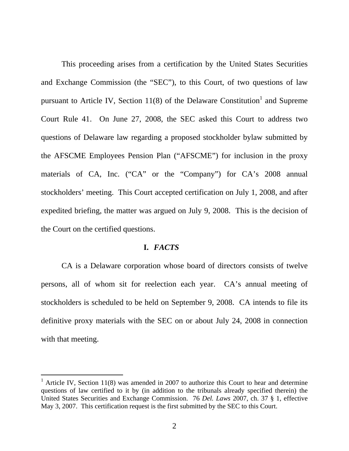This proceeding arises from a certification by the United States Securities and Exchange Commission (the "SEC"), to this Court, of two questions of law pursuant to Article IV, Section 11(8) of the Delaware Constitution<sup>1</sup> and Supreme Court Rule 41. On June 27, 2008, the SEC asked this Court to address two questions of Delaware law regarding a proposed stockholder bylaw submitted by the AFSCME Employees Pension Plan ("AFSCME") for inclusion in the proxy materials of CA, Inc. ("CA" or the "Company") for CA's 2008 annual stockholders' meeting. This Court accepted certification on July 1, 2008, and after expedited briefing, the matter was argued on July 9, 2008. This is the decision of the Court on the certified questions.

#### **I.** *FACTS*

CA is a Delaware corporation whose board of directors consists of twelve persons, all of whom sit for reelection each year. CA's annual meeting of stockholders is scheduled to be held on September 9, 2008. CA intends to file its definitive proxy materials with the SEC on or about July 24, 2008 in connection with that meeting.

<sup>&</sup>lt;sup>1</sup> Article IV, Section 11(8) was amended in 2007 to authorize this Court to hear and determine questions of law certified to it by (in addition to the tribunals already specified therein) the United States Securities and Exchange Commission. 76 *Del. Laws* 2007, ch. 37 § 1, effective May 3, 2007. This certification request is the first submitted by the SEC to this Court.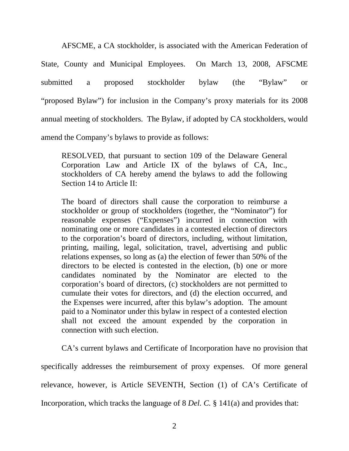AFSCME, a CA stockholder, is associated with the American Federation of State, County and Municipal Employees. On March 13, 2008, AFSCME submitted a proposed stockholder bylaw (the "Bylaw" or "proposed Bylaw") for inclusion in the Company's proxy materials for its 2008 annual meeting of stockholders. The Bylaw, if adopted by CA stockholders, would amend the Company's bylaws to provide as follows:

RESOLVED, that pursuant to section 109 of the Delaware General Corporation Law and Article IX of the bylaws of CA, Inc., stockholders of CA hereby amend the bylaws to add the following Section 14 to Article II:

The board of directors shall cause the corporation to reimburse a stockholder or group of stockholders (together, the "Nominator") for reasonable expenses ("Expenses") incurred in connection with nominating one or more candidates in a contested election of directors to the corporation's board of directors, including, without limitation, printing, mailing, legal, solicitation, travel, advertising and public relations expenses, so long as (a) the election of fewer than 50% of the directors to be elected is contested in the election, (b) one or more candidates nominated by the Nominator are elected to the corporation's board of directors, (c) stockholders are not permitted to cumulate their votes for directors, and (d) the election occurred, and the Expenses were incurred, after this bylaw's adoption. The amount paid to a Nominator under this bylaw in respect of a contested election shall not exceed the amount expended by the corporation in connection with such election.

 CA's current bylaws and Certificate of Incorporation have no provision that specifically addresses the reimbursement of proxy expenses. Of more general relevance, however, is Article SEVENTH, Section (1) of CA's Certificate of Incorporation, which tracks the language of 8 *Del. C.* § 141(a) and provides that: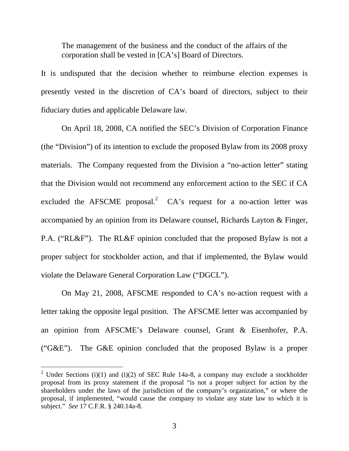The management of the business and the conduct of the affairs of the corporation shall be vested in [CA's] Board of Directors.

It is undisputed that the decision whether to reimburse election expenses is presently vested in the discretion of CA's board of directors, subject to their fiduciary duties and applicable Delaware law.

 On April 18, 2008, CA notified the SEC's Division of Corporation Finance (the "Division") of its intention to exclude the proposed Bylaw from its 2008 proxy materials. The Company requested from the Division a "no-action letter" stating that the Division would not recommend any enforcement action to the SEC if CA excluded the AFSCME proposal.<sup>2</sup>  $CA$ 's request for a no-action letter was accompanied by an opinion from its Delaware counsel, Richards Layton & Finger, P.A. ("RL&F"). The RL&F opinion concluded that the proposed Bylaw is not a proper subject for stockholder action, and that if implemented, the Bylaw would violate the Delaware General Corporation Law ("DGCL").

 On May 21, 2008, AFSCME responded to CA's no-action request with a letter taking the opposite legal position. The AFSCME letter was accompanied by an opinion from AFSCME's Delaware counsel, Grant & Eisenhofer, P.A. ("G&E"). The G&E opinion concluded that the proposed Bylaw is a proper

<sup>&</sup>lt;sup>2</sup> Under Sections (i)(1) and (i)(2) of SEC Rule 14a-8, a company may exclude a stockholder proposal from its proxy statement if the proposal "is not a proper subject for action by the shareholders under the laws of the jurisdiction of the company's organization," or where the proposal, if implemented, "would cause the company to violate any state law to which it is subject." *See* 17 C.F.R. § 240.14a-8.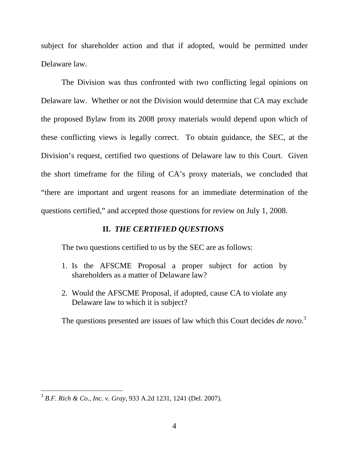subject for shareholder action and that if adopted, would be permitted under Delaware law.

 The Division was thus confronted with two conflicting legal opinions on Delaware law. Whether or not the Division would determine that CA may exclude the proposed Bylaw from its 2008 proxy materials would depend upon which of these conflicting views is legally correct. To obtain guidance, the SEC, at the Division's request, certified two questions of Delaware law to this Court. Given the short timeframe for the filing of CA's proxy materials, we concluded that "there are important and urgent reasons for an immediate determination of the questions certified," and accepted those questions for review on July 1, 2008.

# **II.** *THE CERTIFIED QUESTIONS*

The two questions certified to us by the SEC are as follows:

- 1. Is the AFSCME Proposal a proper subject for action by shareholders as a matter of Delaware law?
- 2. Would the AFSCME Proposal, if adopted, cause CA to violate any Delaware law to which it is subject?

The questions presented are issues of law which this Court decides *de novo*. 3

l

<sup>3</sup> *B.F. Rich & Co*., *Inc. v. Gray,* 933 A.2d 1231, 1241 (Del. 2007).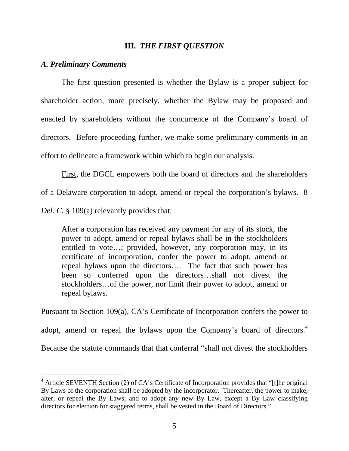### **III.** *THE FIRST QUESTION*

#### *A. Preliminary Comments*

-

The first question presented is whether the Bylaw is a proper subject for shareholder action, more precisely, whether the Bylaw may be proposed and enacted by shareholders without the concurrence of the Company's board of directors. Before proceeding further, we make some preliminary comments in an effort to delineate a framework within which to begin our analysis.

First, the DGCL empowers both the board of directors and the shareholders of a Delaware corporation to adopt, amend or repeal the corporation's bylaws. 8 *Del. C.* § 109(a) relevantly provides that:

After a corporation has received any payment for any of its stock, the power to adopt, amend or repeal bylaws shall be in the stockholders entitled to vote…; provided, however, any corporation may, in its certificate of incorporation, confer the power to adopt, amend or repeal bylaws upon the directors…. The fact that such power has been so conferred upon the directors…shall not divest the stockholders…of the power, nor limit their power to adopt, amend or repeal bylaws.

Pursuant to Section 109(a), CA's Certificate of Incorporation confers the power to adopt, amend or repeal the bylaws upon the Company's board of directors.<sup>4</sup> Because the statute commands that that conferral "shall not divest the stockholders

<sup>&</sup>lt;sup>4</sup> Article SEVENTH Section (2) of CA's Certificate of Incorporation provides that "[t]he original By Laws of the corporation shall be adopted by the incorporator. Thereafter, the power to make, alter, or repeal the By Laws, and to adopt any new By Law, except a By Law classifying directors for election for staggered terms, shall be vested in the Board of Directors."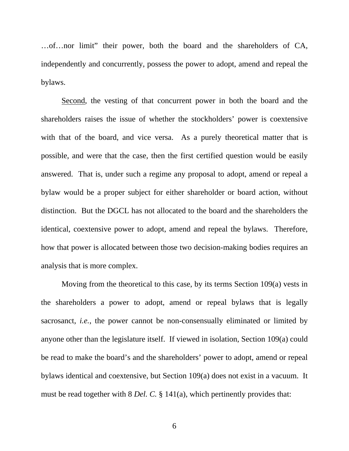…of…nor limit" their power, both the board and the shareholders of CA, independently and concurrently, possess the power to adopt, amend and repeal the bylaws.

Second, the vesting of that concurrent power in both the board and the shareholders raises the issue of whether the stockholders' power is coextensive with that of the board, and vice versa. As a purely theoretical matter that is possible, and were that the case, then the first certified question would be easily answered. That is, under such a regime any proposal to adopt, amend or repeal a bylaw would be a proper subject for either shareholder or board action, without distinction. But the DGCL has not allocated to the board and the shareholders the identical, coextensive power to adopt, amend and repeal the bylaws. Therefore, how that power is allocated between those two decision-making bodies requires an analysis that is more complex.

Moving from the theoretical to this case, by its terms Section 109(a) vests in the shareholders a power to adopt, amend or repeal bylaws that is legally sacrosanct, *i.e.*, the power cannot be non-consensually eliminated or limited by anyone other than the legislature itself. If viewed in isolation, Section 109(a) could be read to make the board's and the shareholders' power to adopt, amend or repeal bylaws identical and coextensive, but Section 109(a) does not exist in a vacuum. It must be read together with 8 *Del. C.* § 141(a), which pertinently provides that: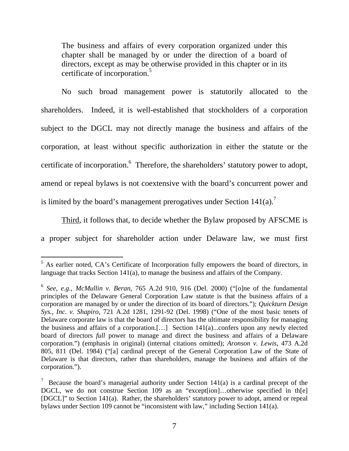The business and affairs of every corporation organized under this chapter shall be managed by or under the direction of a board of directors, except as may be otherwise provided in this chapter or in its certificate of incorporation.<sup>5</sup>

 No such broad management power is statutorily allocated to the shareholders. Indeed, it is well-established that stockholders of a corporation subject to the DGCL may not directly manage the business and affairs of the corporation, at least without specific authorization in either the statute or the certificate of incorporation. <sup>6</sup> Therefore, the shareholders' statutory power to adopt, amend or repeal bylaws is not coextensive with the board's concurrent power and is limited by the board's management prerogatives under Section  $141(a)$ .<sup>7</sup>

 Third, it follows that, to decide whether the Bylaw proposed by AFSCME is a proper subject for shareholder action under Delaware law, we must first

<sup>&</sup>lt;sup>5</sup> As earlier noted, CA's Certificate of Incorporation fully empowers the board of directors, in language that tracks Section 141(a), to manage the business and affairs of the Company.

<sup>6</sup> *See, e.g., McMullin v. Beran*, 765 A.2d 910, 916 (Del. 2000) ("[o]ne of the fundamental principles of the Delaware General Corporation Law statute is that the business affairs of a corporation are managed by or under the direction of its board of directors."); *Quickturn Design Sys., Inc. v. Shapiro*, 721 A.2d 1281, 1291-92 (Del. 1998) ("One of the most basic tenets of Delaware corporate law is that the board of directors has the ultimate responsibility for managing the business and affairs of a corporation.[…] Section 141(a)...confers upon any newly elected board of directors *full* power to manage and direct the business and affairs of a Delaware corporation.") (emphasis in original) (internal citations omitted); *Aronson v. Lewis*, 473 A.2d 805, 811 (Del. 1984) ("[a] cardinal precept of the General Corporation Law of the State of Delaware is that directors, rather than shareholders, manage the business and affairs of the corporation.").

<sup>&</sup>lt;sup>7</sup> Because the board's managerial authority under Section  $141(a)$  is a cardinal precept of the DGCL, we do not construe Section 109 as an "except[ion]…otherwise specified in th[e] [DGCL]" to Section 141(a). Rather, the shareholders' statutory power to adopt, amend or repeal bylaws under Section 109 cannot be "inconsistent with law," including Section 141(a).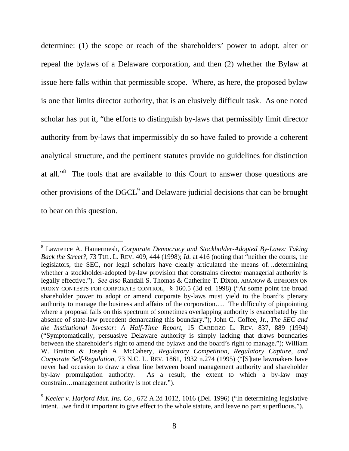determine: (1) the scope or reach of the shareholders' power to adopt, alter or repeal the bylaws of a Delaware corporation, and then (2) whether the Bylaw at issue here falls within that permissible scope. Where, as here, the proposed bylaw is one that limits director authority, that is an elusively difficult task. As one noted scholar has put it, "the efforts to distinguish by-laws that permissibly limit director authority from by-laws that impermissibly do so have failed to provide a coherent analytical structure, and the pertinent statutes provide no guidelines for distinction at all."<sup>8</sup> The tools that are available to this Court to answer those questions are other provisions of the  $DGCL<sup>9</sup>$  and Delaware judicial decisions that can be brought to bear on this question.

 8 Lawrence A. Hamermesh, *Corporate Democracy and Stockholder-Adopted By-Laws: Taking Back the Street?*, 73 TUL. L. REV. 409, 444 (1998); *Id*. at 416 (noting that "neither the courts, the legislators, the SEC, nor legal scholars have clearly articulated the means of…determining whether a stockholder-adopted by-law provision that constrains director managerial authority is legally effective."). *See also* Randall S. Thomas & Catherine T. Dixon, ARANOW & EINHORN ON PROXY CONTESTS FOR CORPORATE CONTROL, § 160.5 (3d ed. 1998) ("At some point the broad shareholder power to adopt or amend corporate by-laws must yield to the board's plenary authority to manage the business and affairs of the corporation…. The difficulty of pinpointing where a proposal falls on this spectrum of sometimes overlapping authority is exacerbated by the absence of state-law precedent demarcating this boundary."); John C. Coffee, Jr., *The SEC and the Institutional Investor: A Half-Time Report*, 15 CARDOZO L. REV. 837, 889 (1994) ("Symptomatically, persuasive Delaware authority is simply lacking that draws boundaries between the shareholder's right to amend the bylaws and the board's right to manage."); William W. Bratton & Joseph A. McCahery, *Regulatory Competition, Regulatory Capture, and Corporate Self-Regulation*, 73 N.C. L. REV. 1861, 1932 n.274 (1995) ("[S]tate lawmakers have never had occasion to draw a clear line between board management authority and shareholder by-law promulgation authority. As a result, the extent to which a by-law may constrain…management authority is not clear.").

<sup>9</sup> *Keeler v. Harford Mut. Ins. Co.*, 672 A.2d 1012, 1016 (Del. 1996) ("In determining legislative intent…we find it important to give effect to the whole statute, and leave no part superfluous.").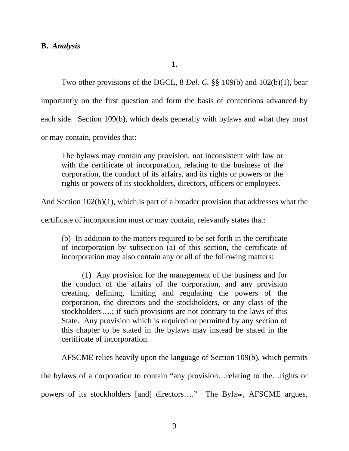**1.**

 Two other provisions of the DGCL, 8 *Del. C.* §§ 109(b) and 102(b)(1), bear importantly on the first question and form the basis of contentions advanced by each side. Section 109(b), which deals generally with bylaws and what they must or may contain, provides that:

The bylaws may contain any provision, not inconsistent with law or with the certificate of incorporation, relating to the business of the corporation, the conduct of its affairs, and its rights or powers or the rights or powers of its stockholders, directors, officers or employees.

And Section 102(b)(1), which is part of a broader provision that addresses what the

certificate of incorporation must or may contain, relevantly states that:

(b) In addition to the matters required to be set forth in the certificate of incorporation by subsection (a) of this section, the certificate of incorporation may also contain any or all of the following matters:

 (1) Any provision for the management of the business and for the conduct of the affairs of the corporation, and any provision creating, defining, limiting and regulating the powers of the corporation, the directors and the stockholders, or any class of the stockholders….; if such provisions are not contrary to the laws of this State. Any provision which is required or permitted by any section of this chapter to be stated in the bylaws may instead be stated in the certificate of incorporation.

AFSCME relies heavily upon the language of Section 109(b), which permits the bylaws of a corporation to contain "any provision…relating to the…rights or powers of its stockholders [and] directors…." The Bylaw, AFSCME argues,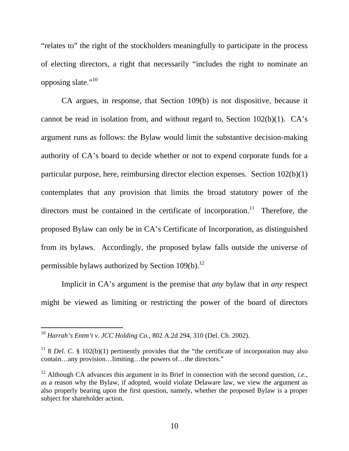"relates to" the right of the stockholders meaningfully to participate in the process of electing directors, a right that necessarily "includes the right to nominate an opposing slate."<sup>10</sup>

 CA argues, in response, that Section 109(b) is not dispositive, because it cannot be read in isolation from, and without regard to, Section  $102(b)(1)$ . CA's argument runs as follows: the Bylaw would limit the substantive decision-making authority of CA's board to decide whether or not to expend corporate funds for a particular purpose, here, reimbursing director election expenses. Section 102(b)(1) contemplates that any provision that limits the broad statutory power of the directors must be contained in the certificate of incorporation.<sup>11</sup> Therefore, the proposed Bylaw can only be in CA's Certificate of Incorporation, as distinguished from its bylaws. Accordingly, the proposed bylaw falls outside the universe of permissible bylaws authorized by Section  $109(b)$ .<sup>12</sup>

 Implicit in CA's argument is the premise that *any* bylaw that in *any* respect might be viewed as limiting or restricting the power of the board of directors

<sup>10</sup> *Harrah's Entm't v. JCC Holding Co.*, 802 A.2d 294, 310 (Del. Ch. 2002).

<sup>&</sup>lt;sup>11</sup> 8 *Del. C.* § 102(b)(1) pertinently provides that the "the certificate of incorporation may also contain…any provision…limiting…the powers of…the directors."

<sup>12</sup> Although CA advances this argument in its Brief in connection with the second question, *i.e.*, as a reason why the Bylaw, if adopted, would violate Delaware law, we view the argument as also properly bearing upon the first question, namely, whether the proposed Bylaw is a proper subject for shareholder action.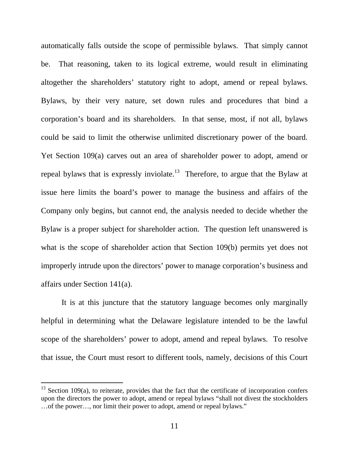automatically falls outside the scope of permissible bylaws. That simply cannot be. That reasoning, taken to its logical extreme, would result in eliminating altogether the shareholders' statutory right to adopt, amend or repeal bylaws. Bylaws, by their very nature, set down rules and procedures that bind a corporation's board and its shareholders. In that sense, most, if not all, bylaws could be said to limit the otherwise unlimited discretionary power of the board. Yet Section 109(a) carves out an area of shareholder power to adopt, amend or repeal bylaws that is expressly inviolate.<sup>13</sup> Therefore, to argue that the Bylaw at issue here limits the board's power to manage the business and affairs of the Company only begins, but cannot end, the analysis needed to decide whether the Bylaw is a proper subject for shareholder action. The question left unanswered is what is the scope of shareholder action that Section 109(b) permits yet does not improperly intrude upon the directors' power to manage corporation's business and affairs under Section 141(a).

It is at this juncture that the statutory language becomes only marginally helpful in determining what the Delaware legislature intended to be the lawful scope of the shareholders' power to adopt, amend and repeal bylaws. To resolve that issue, the Court must resort to different tools, namely, decisions of this Court

 $13$  Section 109(a), to reiterate, provides that the fact that the certificate of incorporation confers upon the directors the power to adopt, amend or repeal bylaws "shall not divest the stockholders …of the power…, nor limit their power to adopt, amend or repeal bylaws."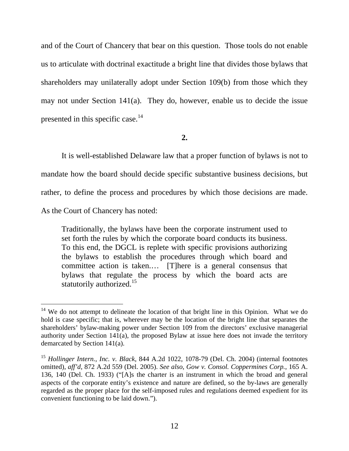and of the Court of Chancery that bear on this question. Those tools do not enable us to articulate with doctrinal exactitude a bright line that divides those bylaws that shareholders may unilaterally adopt under Section 109(b) from those which they may not under Section 141(a). They do, however, enable us to decide the issue presented in this specific case.<sup>14</sup>

**2.** 

 It is well-established Delaware law that a proper function of bylaws is not to mandate how the board should decide specific substantive business decisions, but rather, to define the process and procedures by which those decisions are made. As the Court of Chancery has noted:

Traditionally, the bylaws have been the corporate instrument used to set forth the rules by which the corporate board conducts its business. To this end, the DGCL is replete with specific provisions authorizing the bylaws to establish the procedures through which board and committee action is taken.… [T]here is a general consensus that bylaws that regulate the process by which the board acts are statutorily authorized.<sup>15</sup>

<sup>&</sup>lt;sup>14</sup> We do not attempt to delineate the location of that bright line in this Opinion. What we do hold is case specific; that is, wherever may be the location of the bright line that separates the shareholders' bylaw-making power under Section 109 from the directors' exclusive managerial authority under Section 141(a), the proposed Bylaw at issue here does not invade the territory demarcated by Section 141(a).

<sup>15</sup> *Hollinger Intern., Inc. v. Black*, 844 A.2d 1022, 1078-79 (Del. Ch. 2004) (internal footnotes omitted), *aff'd*, 872 A.2d 559 (Del. 2005). *See also*, *Gow v. Consol. Coppermines Corp.*, 165 A. 136, 140 (Del. Ch. 1933) ("[A]s the charter is an instrument in which the broad and general aspects of the corporate entity's existence and nature are defined, so the by-laws are generally regarded as the proper place for the self-imposed rules and regulations deemed expedient for its convenient functioning to be laid down.").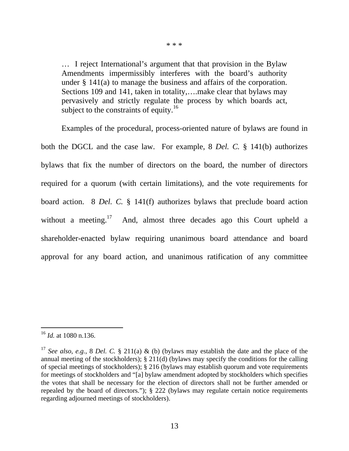… I reject International's argument that that provision in the Bylaw Amendments impermissibly interferes with the board's authority under § 141(a) to manage the business and affairs of the corporation. Sections 109 and 141, taken in totality,….make clear that bylaws may pervasively and strictly regulate the process by which boards act, subject to the constraints of equity.<sup>16</sup>

 Examples of the procedural, process-oriented nature of bylaws are found in both the DGCL and the case law. For example, 8 *Del. C.* § 141(b) authorizes bylaws that fix the number of directors on the board, the number of directors required for a quorum (with certain limitations), and the vote requirements for board action. 8 *Del. C.* § 141(f) authorizes bylaws that preclude board action without a meeting.<sup>17</sup> And, almost three decades ago this Court upheld a shareholder-enacted bylaw requiring unanimous board attendance and board approval for any board action, and unanimous ratification of any committee

<sup>16</sup> *Id.* at 1080 n.136.

<sup>&</sup>lt;sup>17</sup> *See also, e.g., 8 Del. C.* § 211(a) & (b) (bylaws may establish the date and the place of the annual meeting of the stockholders); § 211(d) (bylaws may specify the conditions for the calling of special meetings of stockholders); § 216 (bylaws may establish quorum and vote requirements for meetings of stockholders and "[a] bylaw amendment adopted by stockholders which specifies the votes that shall be necessary for the election of directors shall not be further amended or repealed by the board of directors."); § 222 (bylaws may regulate certain notice requirements regarding adjourned meetings of stockholders).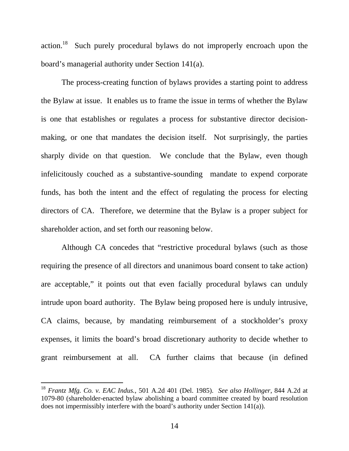action.18 Such purely procedural bylaws do not improperly encroach upon the board's managerial authority under Section 141(a).

The process-creating function of bylaws provides a starting point to address the Bylaw at issue. It enables us to frame the issue in terms of whether the Bylaw is one that establishes or regulates a process for substantive director decisionmaking, or one that mandates the decision itself. Not surprisingly, the parties sharply divide on that question. We conclude that the Bylaw, even though infelicitously couched as a substantive-sounding mandate to expend corporate funds, has both the intent and the effect of regulating the process for electing directors of CA. Therefore, we determine that the Bylaw is a proper subject for shareholder action, and set forth our reasoning below.

Although CA concedes that "restrictive procedural bylaws (such as those requiring the presence of all directors and unanimous board consent to take action) are acceptable," it points out that even facially procedural bylaws can unduly intrude upon board authority. The Bylaw being proposed here is unduly intrusive, CA claims, because, by mandating reimbursement of a stockholder's proxy expenses, it limits the board's broad discretionary authority to decide whether to grant reimbursement at all. CA further claims that because (in defined

<sup>18</sup> *Frantz Mfg. Co. v. EAC Indus.*, 501 A.2d 401 (Del. 1985). *See also Hollinger*, 844 A.2d at 1079-80 (shareholder-enacted bylaw abolishing a board committee created by board resolution does not impermissibly interfere with the board's authority under Section 141(a)).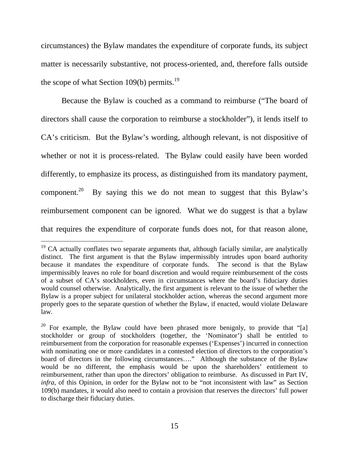circumstances) the Bylaw mandates the expenditure of corporate funds, its subject matter is necessarily substantive, not process-oriented, and, therefore falls outside the scope of what Section 109(b) permits.<sup>19</sup>

 Because the Bylaw is couched as a command to reimburse ("The board of directors shall cause the corporation to reimburse a stockholder"), it lends itself to CA's criticism. But the Bylaw's wording, although relevant, is not dispositive of whether or not it is process-related. The Bylaw could easily have been worded differently, to emphasize its process, as distinguished from its mandatory payment, component.<sup>20</sup> By saying this we do not mean to suggest that this Bylaw's reimbursement component can be ignored. What we do suggest is that a bylaw that requires the expenditure of corporate funds does not, for that reason alone,

 $19$  CA actually conflates two separate arguments that, although facially similar, are analytically distinct. The first argument is that the Bylaw impermissibly intrudes upon board authority because it mandates the expenditure of corporate funds. The second is that the Bylaw impermissibly leaves no role for board discretion and would require reimbursement of the costs of a subset of CA's stockholders, even in circumstances where the board's fiduciary duties would counsel otherwise. Analytically, the first argument is relevant to the issue of whether the Bylaw is a proper subject for unilateral stockholder action, whereas the second argument more properly goes to the separate question of whether the Bylaw, if enacted, would violate Delaware law.

<sup>&</sup>lt;sup>20</sup> For example, the Bylaw could have been phrased more benignly, to provide that "[a] stockholder or group of stockholders (together, the 'Nominator') shall be entitled to reimbursement from the corporation for reasonable expenses ('Expenses') incurred in connection with nominating one or more candidates in a contested election of directors to the corporation's board of directors in the following circumstances...." Although the substance of the Bylaw would be no different, the emphasis would be upon the shareholders' entitlement to reimbursement, rather than upon the directors' obligation to reimburse. As discussed in Part IV, *infra*, of this Opinion, in order for the Bylaw not to be "not inconsistent with law" as Section 109(b) mandates, it would also need to contain a provision that reserves the directors' full power to discharge their fiduciary duties.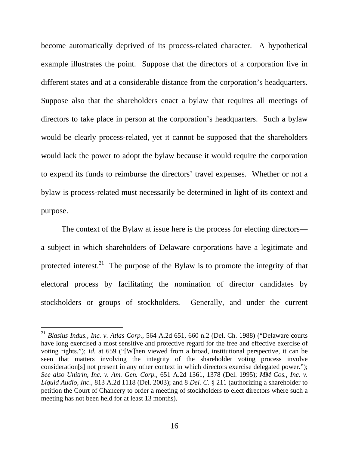become automatically deprived of its process-related character. A hypothetical example illustrates the point. Suppose that the directors of a corporation live in different states and at a considerable distance from the corporation's headquarters. Suppose also that the shareholders enact a bylaw that requires all meetings of directors to take place in person at the corporation's headquarters. Such a bylaw would be clearly process-related, yet it cannot be supposed that the shareholders would lack the power to adopt the bylaw because it would require the corporation to expend its funds to reimburse the directors' travel expenses. Whether or not a bylaw is process-related must necessarily be determined in light of its context and purpose.

 The context of the Bylaw at issue here is the process for electing directors a subject in which shareholders of Delaware corporations have a legitimate and protected interest.<sup>21</sup> The purpose of the Bylaw is to promote the integrity of that electoral process by facilitating the nomination of director candidates by stockholders or groups of stockholders. Generally, and under the current

<sup>21</sup> *Blasius Indus., Inc. v. Atlas Corp.*, 564 A.2d 651, 660 n.2 (Del. Ch. 1988) ("Delaware courts have long exercised a most sensitive and protective regard for the free and effective exercise of voting rights."); *Id.* at 659 ("[W]hen viewed from a broad, institutional perspective, it can be seen that matters involving the integrity of the shareholder voting process involve consideration[s] not present in any other context in which directors exercise delegated power."); *See also Unitrin, Inc. v. Am. Gen. Corp.*, 651 A.2d 1361, 1378 (Del. 1995); *MM Cos., Inc. v. Liquid Audio, Inc.,* 813 A.2d 1118 (Del. 2003); and 8 *Del. C.* § 211 (authorizing a shareholder to petition the Court of Chancery to order a meeting of stockholders to elect directors where such a meeting has not been held for at least 13 months).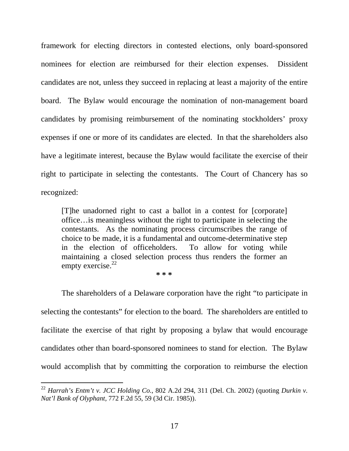framework for electing directors in contested elections, only board-sponsored nominees for election are reimbursed for their election expenses. Dissident candidates are not, unless they succeed in replacing at least a majority of the entire board. The Bylaw would encourage the nomination of non-management board candidates by promising reimbursement of the nominating stockholders' proxy expenses if one or more of its candidates are elected. In that the shareholders also have a legitimate interest, because the Bylaw would facilitate the exercise of their right to participate in selecting the contestants. The Court of Chancery has so recognized:

[T]he unadorned right to cast a ballot in a contest for [corporate] office…is meaningless without the right to participate in selecting the contestants. As the nominating process circumscribes the range of choice to be made, it is a fundamental and outcome-determinative step in the election of officeholders. To allow for voting while maintaining a closed selection process thus renders the former an empty exercise. $22$ 

**\* \* \*** 

 The shareholders of a Delaware corporation have the right "to participate in selecting the contestants" for election to the board. The shareholders are entitled to facilitate the exercise of that right by proposing a bylaw that would encourage candidates other than board-sponsored nominees to stand for election. The Bylaw would accomplish that by committing the corporation to reimburse the election

<sup>22</sup> *Harrah's Entm't v. JCC Holding Co.*, 802 A.2d 294, 311 (Del. Ch. 2002) (quoting *Durkin v. Nat'l Bank of Olyphant,* 772 F.2d 55, 59 (3d Cir. 1985)).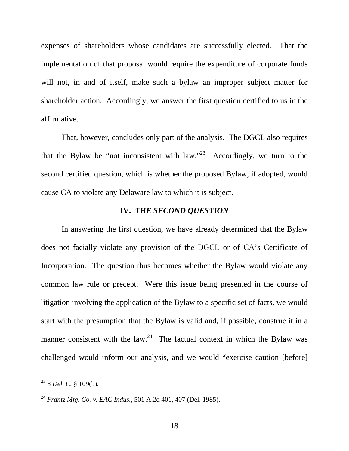expenses of shareholders whose candidates are successfully elected. That the implementation of that proposal would require the expenditure of corporate funds will not, in and of itself, make such a bylaw an improper subject matter for shareholder action. Accordingly, we answer the first question certified to us in the affirmative.

 That, however, concludes only part of the analysis. The DGCL also requires that the Bylaw be "not inconsistent with  $law.^{323}$  Accordingly, we turn to the second certified question, which is whether the proposed Bylaw, if adopted, would cause CA to violate any Delaware law to which it is subject.

# **IV.** *THE SECOND QUESTION*

In answering the first question, we have already determined that the Bylaw does not facially violate any provision of the DGCL or of CA's Certificate of Incorporation. The question thus becomes whether the Bylaw would violate any common law rule or precept. Were this issue being presented in the course of litigation involving the application of the Bylaw to a specific set of facts, we would start with the presumption that the Bylaw is valid and, if possible, construe it in a manner consistent with the law.<sup>24</sup> The factual context in which the Bylaw was challenged would inform our analysis, and we would "exercise caution [before]

<sup>23 8</sup> *Del. C.* § 109(b).

<sup>24</sup> *Frantz Mfg. Co. v. EAC Indus.*, 501 A.2d 401, 407 (Del. 1985).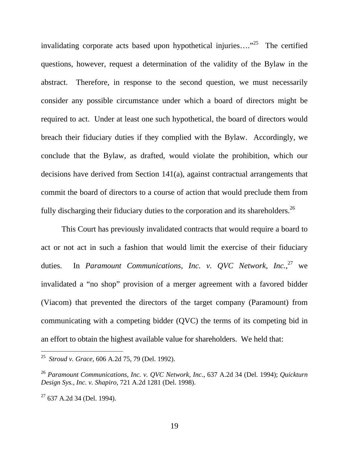invalidating corporate acts based upon hypothetical injuries...."<sup>25</sup> The certified questions, however, request a determination of the validity of the Bylaw in the abstract. Therefore, in response to the second question, we must necessarily consider any possible circumstance under which a board of directors might be required to act. Under at least one such hypothetical, the board of directors would breach their fiduciary duties if they complied with the Bylaw. Accordingly, we conclude that the Bylaw, as drafted, would violate the prohibition, which our decisions have derived from Section 141(a), against contractual arrangements that commit the board of directors to a course of action that would preclude them from fully discharging their fiduciary duties to the corporation and its shareholders.<sup>26</sup>

This Court has previously invalidated contracts that would require a board to act or not act in such a fashion that would limit the exercise of their fiduciary duties. In *Paramount Communications, Inc. v. QVC Network, Inc.*<sup>27</sup> we invalidated a "no shop" provision of a merger agreement with a favored bidder (Viacom) that prevented the directors of the target company (Paramount) from communicating with a competing bidder (QVC) the terms of its competing bid in an effort to obtain the highest available value for shareholders. We held that:

l

<sup>25</sup> *Stroud v. Grace*, 606 A.2d 75, 79 (Del. 1992).

<sup>26</sup> *Paramount Communications, Inc. v. QVC Network, Inc*., 637 A.2d 34 (Del. 1994); *Quickturn Design Sys., Inc. v. Shapiro*, 721 A.2d 1281 (Del. 1998).

 $27$  637 A.2d 34 (Del. 1994).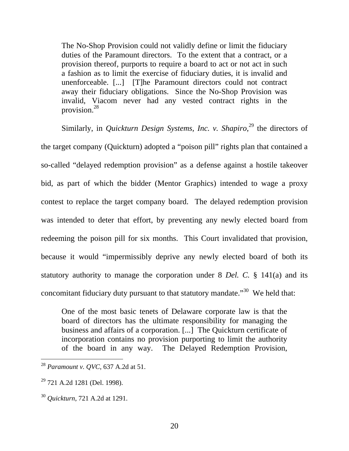The No-Shop Provision could not validly define or limit the fiduciary duties of the Paramount directors. To the extent that a contract, or a provision thereof, purports to require a board to act or not act in such a fashion as to limit the exercise of fiduciary duties, it is invalid and unenforceable. [...] [T]he Paramount directors could not contract away their fiduciary obligations. Since the No-Shop Provision was invalid, Viacom never had any vested contract rights in the provision.28

Similarly, in *Quickturn Design Systems, Inc. v. Shapiro*,<sup>29</sup> the directors of the target company (Quickturn) adopted a "poison pill" rights plan that contained a so-called "delayed redemption provision" as a defense against a hostile takeover bid, as part of which the bidder (Mentor Graphics) intended to wage a proxy contest to replace the target company board. The delayed redemption provision was intended to deter that effort, by preventing any newly elected board from redeeming the poison pill for six months. This Court invalidated that provision, because it would "impermissibly deprive any newly elected board of both its statutory authority to manage the corporation under 8 *Del. C.* § 141(a) and its concomitant fiduciary duty pursuant to that statutory mandate.<sup> $30$ </sup> We held that:

One of the most basic tenets of Delaware corporate law is that the board of directors has the ultimate responsibility for managing the business and affairs of a corporation. [...] The Quickturn certificate of incorporation contains no provision purporting to limit the authority of the board in any way. The Delayed Redemption Provision,

<sup>28</sup> *Paramount v. QVC*, 637 A.2d at 51.

<sup>29 721</sup> A.2d 1281 (Del. 1998).

<sup>30</sup> *Quickturn*, 721 A.2d at 1291.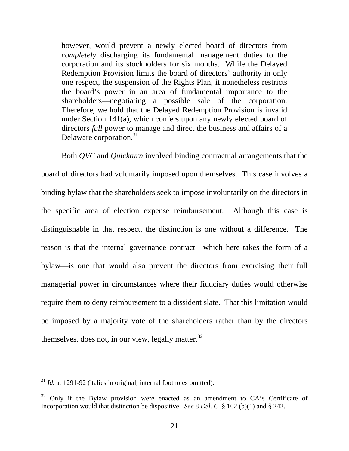however, would prevent a newly elected board of directors from *completely* discharging its fundamental management duties to the corporation and its stockholders for six months. While the Delayed Redemption Provision limits the board of directors' authority in only one respect, the suspension of the Rights Plan, it nonetheless restricts the board's power in an area of fundamental importance to the shareholders—negotiating a possible sale of the corporation. Therefore, we hold that the Delayed Redemption Provision is invalid under Section 141(a), which confers upon any newly elected board of directors *full* power to manage and direct the business and affairs of a Delaware corporation.<sup>31</sup>

 Both *QVC* and *Quickturn* involved binding contractual arrangements that the board of directors had voluntarily imposed upon themselves. This case involves a binding bylaw that the shareholders seek to impose involuntarily on the directors in the specific area of election expense reimbursement. Although this case is distinguishable in that respect, the distinction is one without a difference. The reason is that the internal governance contract—which here takes the form of a bylaw—is one that would also prevent the directors from exercising their full managerial power in circumstances where their fiduciary duties would otherwise require them to deny reimbursement to a dissident slate. That this limitation would be imposed by a majority vote of the shareholders rather than by the directors themselves, does not, in our view, legally matter.  $32$ 

<sup>&</sup>lt;sup>31</sup> *Id.* at 1291-92 (italics in original, internal footnotes omitted).

 $32$  Only if the Bylaw provision were enacted as an amendment to CA's Certificate of Incorporation would that distinction be dispositive. *See* 8 *Del. C.* § 102 (b)(1) and § 242.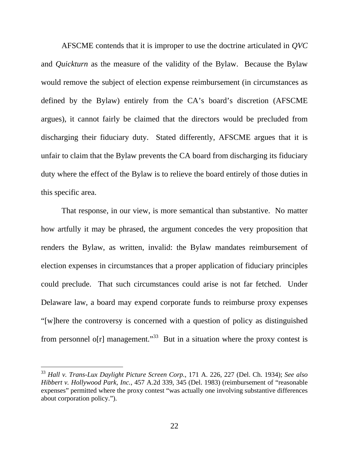AFSCME contends that it is improper to use the doctrine articulated in *QVC*  and *Quickturn* as the measure of the validity of the Bylaw. Because the Bylaw would remove the subject of election expense reimbursement (in circumstances as defined by the Bylaw) entirely from the CA's board's discretion (AFSCME argues), it cannot fairly be claimed that the directors would be precluded from discharging their fiduciary duty. Stated differently, AFSCME argues that it is unfair to claim that the Bylaw prevents the CA board from discharging its fiduciary duty where the effect of the Bylaw is to relieve the board entirely of those duties in this specific area.

That response, in our view, is more semantical than substantive. No matter how artfully it may be phrased, the argument concedes the very proposition that renders the Bylaw, as written, invalid: the Bylaw mandates reimbursement of election expenses in circumstances that a proper application of fiduciary principles could preclude. That such circumstances could arise is not far fetched. Under Delaware law, a board may expend corporate funds to reimburse proxy expenses "[w]here the controversy is concerned with a question of policy as distinguished from personnel o[r] management.<sup>33</sup> But in a situation where the proxy contest is

<sup>33</sup> *Hall v. Trans-Lux Daylight Picture Screen Corp.*, 171 A. 226, 227 (Del. Ch. 1934); *See also Hibbert v. Hollywood Park, Inc.*, 457 A.2d 339, 345 (Del. 1983) (reimbursement of "reasonable expenses" permitted where the proxy contest "was actually one involving substantive differences about corporation policy.").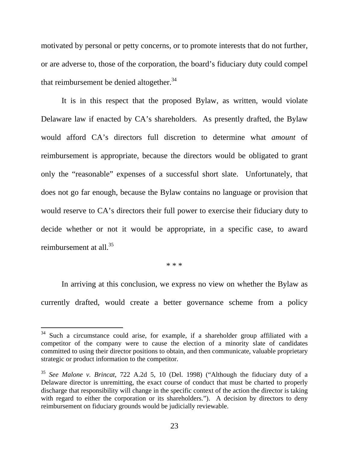motivated by personal or petty concerns, or to promote interests that do not further, or are adverse to, those of the corporation, the board's fiduciary duty could compel that reimbursement be denied altogether. $34$ 

 It is in this respect that the proposed Bylaw, as written, would violate Delaware law if enacted by CA's shareholders. As presently drafted, the Bylaw would afford CA's directors full discretion to determine what *amount* of reimbursement is appropriate, because the directors would be obligated to grant only the "reasonable" expenses of a successful short slate. Unfortunately, that does not go far enough, because the Bylaw contains no language or provision that would reserve to CA's directors their full power to exercise their fiduciary duty to decide whether or not it would be appropriate, in a specific case, to award reimbursement at all.<sup>35</sup>

\* \* \*

 In arriving at this conclusion, we express no view on whether the Bylaw as currently drafted, would create a better governance scheme from a policy

<sup>&</sup>lt;sup>34</sup> Such a circumstance could arise, for example, if a shareholder group affiliated with a competitor of the company were to cause the election of a minority slate of candidates committed to using their director positions to obtain, and then communicate, valuable proprietary strategic or product information to the competitor.

<sup>35</sup> *See Malone v. Brincat*, 722 A.2d 5, 10 (Del. 1998) ("Although the fiduciary duty of a Delaware director is unremitting, the exact course of conduct that must be charted to properly discharge that responsibility will change in the specific context of the action the director is taking with regard to either the corporation or its shareholders."). A decision by directors to deny reimbursement on fiduciary grounds would be judicially reviewable.